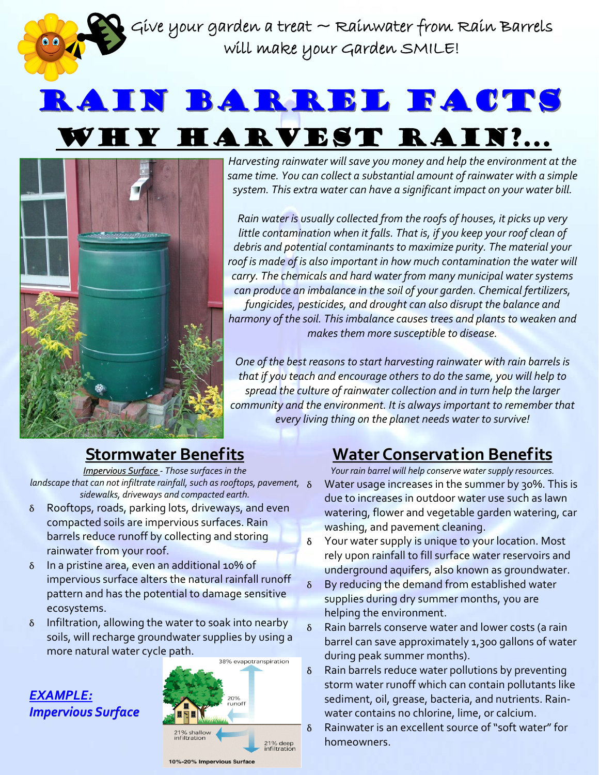Give your garden a treat  $\sim$  Rainwater from Rain Barrels  $\,$ will make your Garden SMILE!

## RAIN BARREL FACTS HY HARVEST RAIN?...



*Harvesting rainwater will save you money and help the environment at the same time. You can collect a substantial amount of rainwater with a simple system. This extra water can have a significant impact on your water bill.* 

*Rain water is usually collected from the roofs of houses, it picks up very little contamination when it falls. That is, if you keep your roof clean of debris and potential contaminants to maximize purity. The material your roof is made of is also important in how much contamination the water will carry. The chemicals and hard water from many municipal water systems can produce an imbalance in the soil of your garden. Chemical fertilizers, fungicides, pesticides, and drought can also disrupt the balance and harmony of the soil. Thisimbalance causes trees and plants to weaken and makes them more susceptible to disease.*

*One of the best reasons to start harvesting rainwater with rain barrels is that if you teach and encourage others to do the same, you will help to spread the culture of rainwater collection and in turn help the larger community and the environment. It is always important to remember that every living thing on the planet needs water to survive!*

### **Stormwater Stormwater Benefits Benefits**

*Impervious Surface Surface ‐ Those surfaces in the landscape that can not infiltrate rainfall,such as rooftops, pavement, sidewalks, driveways and compacted earth.*

- δ Rooftops, roads, parking lots, driveways, and even compacted soils are impervious surfaces. Rain barrels reduce runoff by collecting and storing rainwater from your roof.
- δ In a pristine area, even an additional 10% of impervious surface alters the natural rainfall runoff pattern and has the potential to damage sensitive ecosystems.
- δ Infiltration, allowing the water to soak into nearby soils, will recharge groundwater supplies by using a more natural water cycle path.

## *EXAMPLE: EXAMPLE: Impervious Surface*



## **Water Conservation Benefits**

*Your rain barrel will help conserve water supply resources.* Water usage increases in the summer by 30%. This is due to increases in outdoor water use such as lawn watering, flower and vegetable garden watering, car washing, and pavement cleaning.

- δ Your water supply is unique to your location. Most rely upon rainfall to fill surface water reservoirs and underground aquifers, also known as groundwater.
- δ By reducing the demand from established water supplies during dry summer months, you are helping the environment.
- δ Rain barrels conserve water and lower costs (a rain barrel can save approximately 1,300 gallons of water during peak summer months).
- δ Rain barrels reduce water pollutions by preventing storm water runoff which can contain pollutants like sediment, oil, grease, bacteria, and nutrients. Rain‐ water contains no chlorine, lime, or calcium.
- δ Rainwater is an excellent source of "soft water" for homeowners.